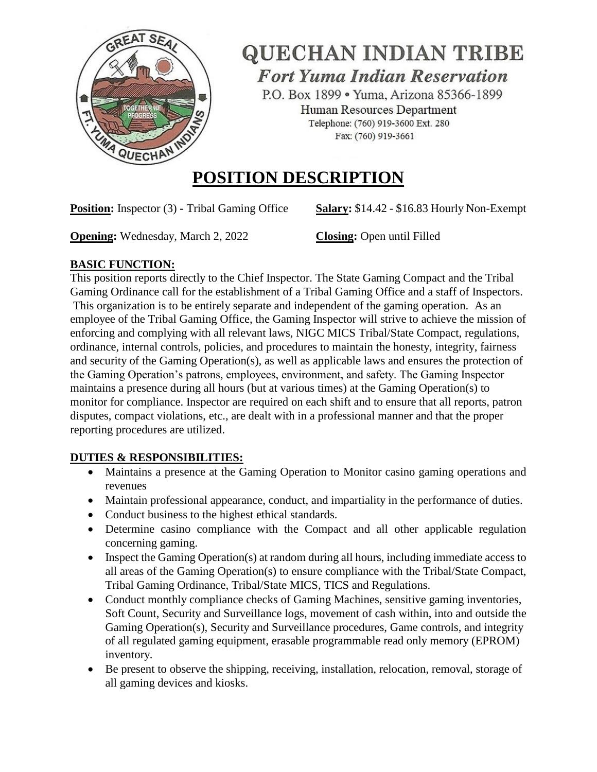

# **QUECHAN INDIAN TRIBE**

**Fort Yuma Indian Reservation** 

P.O. Box 1899 · Yuma, Arizona 85366-1899 Human Resources Department Telephone: (760) 919-3600 Ext. 280 Fax: (760) 919-3661

# **POSITION DESCRIPTION**

**Position:** Inspector (3) **-** Tribal Gaming Office Salary: \$14.42 - \$16.83 Hourly Non-Exempt

**Opening:** Wednesday, March 2, 2022 **Closing:** Open until Filled

## **BASIC FUNCTION:**

This position reports directly to the Chief Inspector. The State Gaming Compact and the Tribal Gaming Ordinance call for the establishment of a Tribal Gaming Office and a staff of Inspectors. This organization is to be entirely separate and independent of the gaming operation. As an employee of the Tribal Gaming Office, the Gaming Inspector will strive to achieve the mission of enforcing and complying with all relevant laws, NIGC MICS Tribal/State Compact, regulations, ordinance, internal controls, policies, and procedures to maintain the honesty, integrity, fairness and security of the Gaming Operation(s), as well as applicable laws and ensures the protection of the Gaming Operation's patrons, employees, environment, and safety. The Gaming Inspector maintains a presence during all hours (but at various times) at the Gaming Operation(s) to monitor for compliance. Inspector are required on each shift and to ensure that all reports, patron disputes, compact violations, etc., are dealt with in a professional manner and that the proper reporting procedures are utilized.

# **DUTIES & RESPONSIBILITIES:**

- Maintains a presence at the Gaming Operation to Monitor casino gaming operations and revenues
- Maintain professional appearance, conduct, and impartiality in the performance of duties.
- Conduct business to the highest ethical standards.
- Determine casino compliance with the Compact and all other applicable regulation concerning gaming.
- Inspect the Gaming Operation(s) at random during all hours, including immediate access to all areas of the Gaming Operation(s) to ensure compliance with the Tribal/State Compact, Tribal Gaming Ordinance, Tribal/State MICS, TICS and Regulations.
- Conduct monthly compliance checks of Gaming Machines, sensitive gaming inventories, Soft Count, Security and Surveillance logs, movement of cash within, into and outside the Gaming Operation(s), Security and Surveillance procedures, Game controls, and integrity of all regulated gaming equipment, erasable programmable read only memory (EPROM) inventory.
- Be present to observe the shipping, receiving, installation, relocation, removal, storage of all gaming devices and kiosks.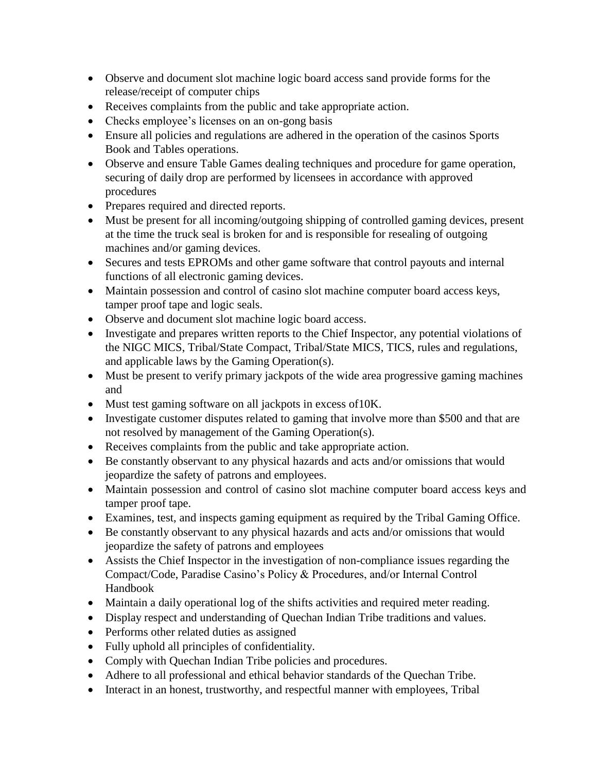- Observe and document slot machine logic board access sand provide forms for the release/receipt of computer chips
- Receives complaints from the public and take appropriate action.
- Checks employee's licenses on an on-gong basis
- Ensure all policies and regulations are adhered in the operation of the casinos Sports Book and Tables operations.
- Observe and ensure Table Games dealing techniques and procedure for game operation, securing of daily drop are performed by licensees in accordance with approved procedures
- Prepares required and directed reports.
- Must be present for all incoming/outgoing shipping of controlled gaming devices, present at the time the truck seal is broken for and is responsible for resealing of outgoing machines and/or gaming devices.
- Secures and tests EPROMs and other game software that control payouts and internal functions of all electronic gaming devices.
- Maintain possession and control of casino slot machine computer board access keys, tamper proof tape and logic seals.
- Observe and document slot machine logic board access.
- Investigate and prepares written reports to the Chief Inspector, any potential violations of the NIGC MICS, Tribal/State Compact, Tribal/State MICS, TICS, rules and regulations, and applicable laws by the Gaming Operation(s).
- Must be present to verify primary jackpots of the wide area progressive gaming machines and
- Must test gaming software on all jackpots in excess of 10K.
- Investigate customer disputes related to gaming that involve more than \$500 and that are not resolved by management of the Gaming Operation(s).
- Receives complaints from the public and take appropriate action.
- Be constantly observant to any physical hazards and acts and/or omissions that would jeopardize the safety of patrons and employees.
- Maintain possession and control of casino slot machine computer board access keys and tamper proof tape.
- Examines, test, and inspects gaming equipment as required by the Tribal Gaming Office.
- Be constantly observant to any physical hazards and acts and/or omissions that would jeopardize the safety of patrons and employees
- Assists the Chief Inspector in the investigation of non-compliance issues regarding the Compact/Code, Paradise Casino's Policy & Procedures, and/or Internal Control Handbook
- Maintain a daily operational log of the shifts activities and required meter reading.
- Display respect and understanding of Quechan Indian Tribe traditions and values.
- Performs other related duties as assigned
- Fully uphold all principles of confidentiality.
- Comply with Quechan Indian Tribe policies and procedures.
- Adhere to all professional and ethical behavior standards of the Quechan Tribe.
- Interact in an honest, trustworthy, and respectful manner with employees, Tribal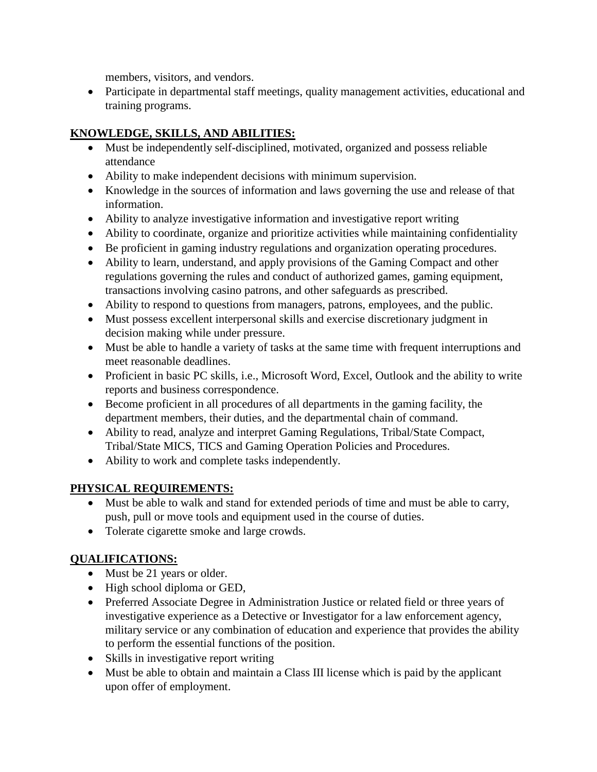members, visitors, and vendors.

 Participate in departmental staff meetings, quality management activities, educational and training programs.

## **KNOWLEDGE, SKILLS, AND ABILITIES:**

- Must be independently self-disciplined, motivated, organized and possess reliable attendance
- Ability to make independent decisions with minimum supervision.
- Knowledge in the sources of information and laws governing the use and release of that information.
- Ability to analyze investigative information and investigative report writing
- Ability to coordinate, organize and prioritize activities while maintaining confidentiality
- Be proficient in gaming industry regulations and organization operating procedures.
- Ability to learn, understand, and apply provisions of the Gaming Compact and other regulations governing the rules and conduct of authorized games, gaming equipment, transactions involving casino patrons, and other safeguards as prescribed.
- Ability to respond to questions from managers, patrons, employees, and the public.
- Must possess excellent interpersonal skills and exercise discretionary judgment in decision making while under pressure.
- Must be able to handle a variety of tasks at the same time with frequent interruptions and meet reasonable deadlines.
- Proficient in basic PC skills, i.e., Microsoft Word, Excel, Outlook and the ability to write reports and business correspondence.
- Become proficient in all procedures of all departments in the gaming facility, the department members, their duties, and the departmental chain of command.
- Ability to read, analyze and interpret Gaming Regulations, Tribal/State Compact, Tribal/State MICS, TICS and Gaming Operation Policies and Procedures.
- Ability to work and complete tasks independently.

#### **PHYSICAL REQUIREMENTS:**

- Must be able to walk and stand for extended periods of time and must be able to carry, push, pull or move tools and equipment used in the course of duties.
- Tolerate cigarette smoke and large crowds.

#### **QUALIFICATIONS:**

- Must be 21 years or older.
- High school diploma or GED,
- Preferred Associate Degree in Administration Justice or related field or three years of investigative experience as a Detective or Investigator for a law enforcement agency, military service or any combination of education and experience that provides the ability to perform the essential functions of the position.
- Skills in investigative report writing
- Must be able to obtain and maintain a Class III license which is paid by the applicant upon offer of employment.